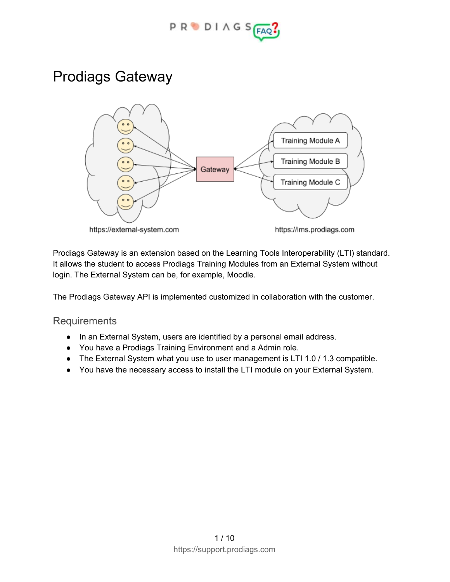

## Prodiags Gateway



Prodiags Gateway is an extension based on the Learning Tools Interoperability (LTI) standard. It allows the student to access Prodiags Training Modules from an External System without login. The External System can be, for example, Moodle.

The Prodiags Gateway API is implemented customized in collaboration with the customer.

**Requirements** 

- In an External System, users are identified by a personal email address.
- You have a Prodiags Training Environment and a Admin role.
- The External System what you use to user management is LTI 1.0 / 1.3 compatible.
- You have the necessary access to install the LTI module on your External System.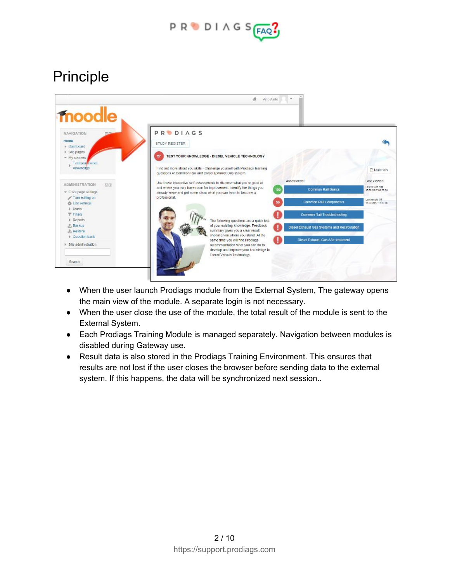

# Principle



- When the user launch Prodiags module from the External System, The gateway opens the main view of the module. A separate login is not necessary.
- When the user close the use of the module, the total result of the module is sent to the External System.
- Each Prodiags Training Module is managed separately. Navigation between modules is disabled during Gateway use.
- Result data is also stored in the Prodiags Training Environment. This ensures that results are not lost if the user closes the browser before sending data to the external system. If this happens, the data will be synchronized next session..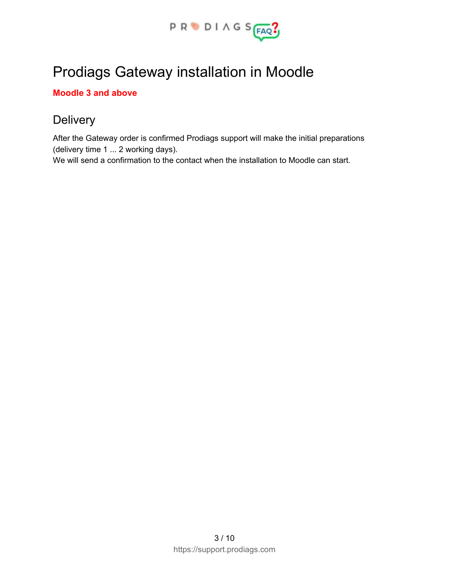

# Prodiags Gateway installation in Moodle

#### **Moodle 3 and above**

## **Delivery**

After the Gateway order is confirmed Prodiags support will make the initial preparations (delivery time 1 ... 2 working days).

We will send a confirmation to the contact when the installation to Moodle can start.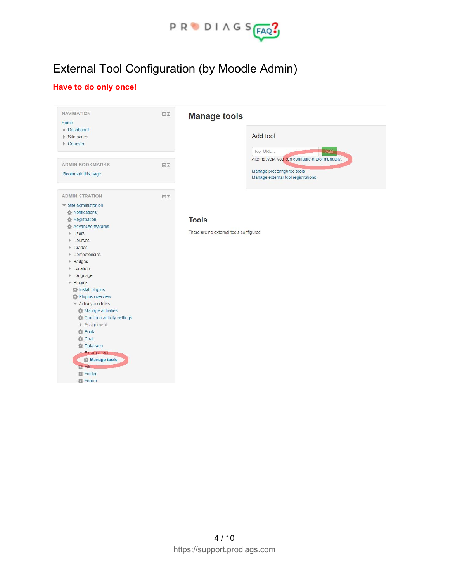

## External Tool Configuration (by Moodle Admin)

### **Have to do only once!**

| Home<br>Dashboard<br>Site pages<br>Courses                                                                                                                                                                                                                                                                                                                                                                                                                                                                               |        | <b>Manage tools</b><br>Add tool<br>Tool URL<br>Add                                                                    |
|--------------------------------------------------------------------------------------------------------------------------------------------------------------------------------------------------------------------------------------------------------------------------------------------------------------------------------------------------------------------------------------------------------------------------------------------------------------------------------------------------------------------------|--------|-----------------------------------------------------------------------------------------------------------------------|
| <b>ADMIN BOOKMARKS</b><br>Bookmark this page                                                                                                                                                                                                                                                                                                                                                                                                                                                                             | $\Box$ | Alternatively, you can configure a tool manually.<br>Manage preconfigured tools<br>Manage external tool registrations |
| <b>ADMINISTRATION</b><br>$\blacktriangleright$ Site administration<br>Notifications<br>Registration<br>Advanced features<br>$\triangleright$ Users<br>Courses<br>Grades<br>Þ.<br>Competencies<br>▶ Badges<br><b>Location</b><br>▶ Language<br>$\blacktriangleright$ Plugins<br>Install plugins<br>Plugins overview<br>* Activity modules<br>Manage activities<br>Common activity settings<br>Assignment<br>器 Book<br>卷 Chat<br><b>卷 Database</b><br>External tool<br>Manage tools<br><b>My File</b><br>Folder<br>春 Forum | 回回     | <b>Tools</b><br>There are no external tools configured.                                                               |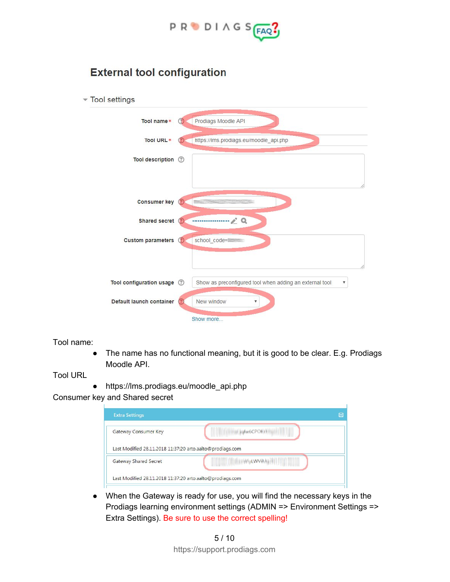

### **External tool configuration**

| Tool settings                   |                                                                |
|---------------------------------|----------------------------------------------------------------|
| Tool name*                      | Prodiags Moodle API<br>$\circ$                                 |
| Tool URL *                      | https://lms.prodiags.eu/moodle_api.php                         |
| Tool description (2)            |                                                                |
| <b>Consumer key</b>             |                                                                |
| Shared secret (?)               |                                                                |
| <b>Custom parameters</b>        | school_code=<br>$\circled{?}$                                  |
|                                 |                                                                |
| <b>Tool configuration usage</b> | Show as preconfigured tool when adding an external tool<br>(?) |
| Default launch container        | New window<br>۷                                                |
|                                 | Show more                                                      |

Tool name:

● The name has no functional meaning, but it is good to be clear. E.g. Prodiags Moodle API.

Tool URL

● https://lms.prodiags.eu/moodle\_api.php

Consumer key and Shared secret

| Gateway Consumer Key                                      | <b>EXAMPLE SHOWS CPOND THE</b> |
|-----------------------------------------------------------|--------------------------------|
| Last Modified 28.11.2018 11:37:20 arto.aalto@prodiags.com |                                |
|                                                           |                                |

● When the Gateway is ready for use, you will find the necessary keys in the Prodiags learning environment settings (ADMIN => Environment Settings => Extra Settings). Be sure to use the correct spelling!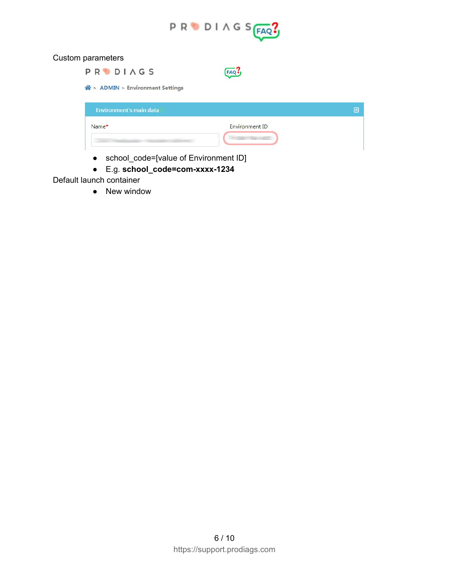

#### Custom parameters

| <b>PRODIAGS</b>                  |                |   |
|----------------------------------|----------------|---|
| 谷 > ADMIN > Environment Settings |                |   |
| <b>Environment's main data</b>   |                | E |
| Name*                            | Environment ID |   |
|                                  |                |   |

- school\_code=[value of Environment ID]
- E.g. **school\_code=com-xxxx-1234**

Default launch container

• New window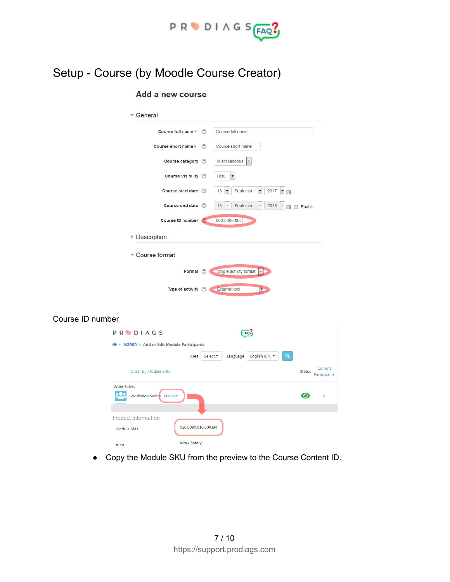

## Setup - Course (by Moodle Course Creator)

#### Add a new course

Course ID number

| Course full name *              | ◎              | Course full name                                                                      |
|---------------------------------|----------------|---------------------------------------------------------------------------------------|
|                                 |                |                                                                                       |
| Course short name *             | $\circledcirc$ | Course short name                                                                     |
| Course category 2               |                | Miscellaneous<br>$\overline{\phantom{a}}$                                             |
| Course visibility 2             |                | Hide<br>۰                                                                             |
| Course start date (?)           |                | September<br>2017<br>13<br>$\blacktriangledown$<br>$\overline{\phantom{a}}$<br>▼<br>臘 |
| Course end date (?)             |                | September<br>13<br>2018<br>雦<br>Enable                                                |
| <b>Course ID number</b>         | (?)            | 000.0000.000                                                                          |
| Description                     |                |                                                                                       |
| Course format                   |                |                                                                                       |
| Format (?)                      |                | Single activity format<br>$\blacktriangledown$                                        |
| Type of activity $\circledcirc$ |                | External tool                                                                         |
|                                 |                |                                                                                       |

|                                               | Q<br>English (EN) ▼<br>Select ▼<br>Language<br>Area |               |                        |
|-----------------------------------------------|-----------------------------------------------------|---------------|------------------------|
| Order by Module SKU                           |                                                     | <b>Status</b> | Current<br>Participant |
| <b>Work Safety</b><br>Workshop Safety Preview |                                                     | $\odot$       | $\mathbf{0}$           |
|                                               |                                                     |               |                        |
|                                               |                                                     |               |                        |
| <b>Product Information</b><br>Module SKU      | 020.0090.010.000.EN                                 |               |                        |

● Copy the Module SKU from the preview to the Course Content ID.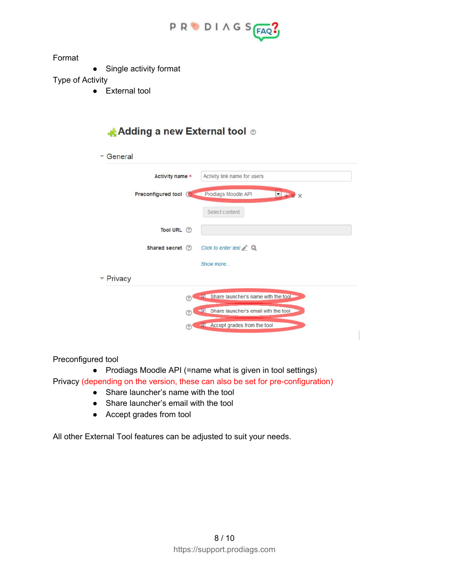

Format

• Single activity format

Type of Activity

● External tool

### Adding a new External tool ®

| General           |                                                                                       |
|-------------------|---------------------------------------------------------------------------------------|
| Activity name *   | Activity link name for users                                                          |
|                   | <b>Preconfigured tool (C)</b> Prodiags Moodle API<br>$\blacktriangledown$<br>$\times$ |
|                   | Select content                                                                        |
| Tool URL (?)      |                                                                                       |
| Shared secret (?) | Click to enter text $\geq Q$                                                          |
|                   | Show more                                                                             |
| Privacy           |                                                                                       |
|                   | Share launcher's name with the tool.                                                  |
|                   | Share launcher's email with the tool<br>0                                             |
|                   | Accept grades from the tool<br>0                                                      |
|                   |                                                                                       |

Preconfigured tool

● Prodiags Moodle API (=name what is given in tool settings)

Privacy (depending on the version, these can also be set for pre-configuration)

- Share launcher's name with the tool
- Share launcher's email with the tool
- Accept grades from tool

All other External Tool features can be adjusted to suit your needs.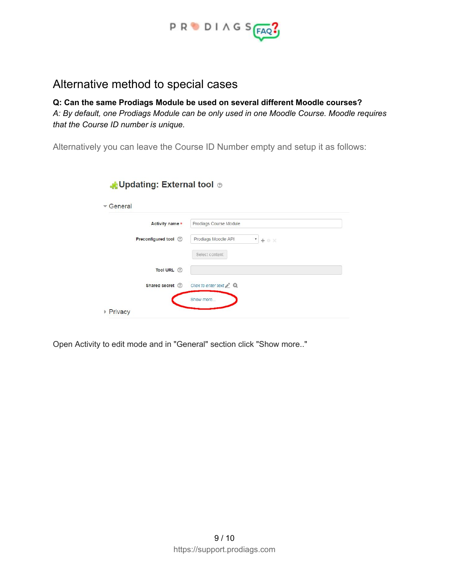

### Alternative method to special cases

**Q: Can the same Prodiags Module be used on several different Moodle courses?** *A: By default, one Prodiags Module can be only used in one Moodle Course. Moodle requires that the Course ID number is unique.*

Alternatively you can leave the Course ID Number empty and setup it as follows:

| General                |                                                    |
|------------------------|----------------------------------------------------|
| Activity name *        | Prodiags Course Module                             |
| Preconfigured tool (2) | Prodiags Moodle API<br>$\pmb{\mathrm{v}}$<br>+ 0 X |
|                        | Select content                                     |
| Tool URL (?)           |                                                    |
| Shared secret (?)      | Click to enter text $\triangle$ $\mathbb{Q}$       |
|                        | Show more                                          |
| ▶ Privacy              |                                                    |

Open Activity to edit mode and in "General" section click "Show more.."